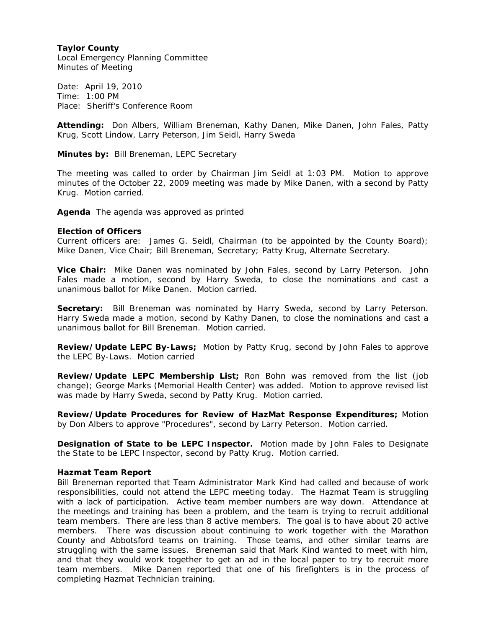## **Taylor County**

Local Emergency Planning Committee Minutes of Meeting

Date: April 19, 2010 Time: 1:00 PM Place: Sheriff's Conference Room

**Attending:** Don Albers, William Breneman, Kathy Danen, Mike Danen, John Fales, Patty Krug, Scott Lindow, Larry Peterson, Jim Seidl, Harry Sweda

**Minutes by:** Bill Breneman, LEPC Secretary

The meeting was called to order by Chairman Jim Seidl at 1:03 PM. Motion to approve minutes of the October 22, 2009 meeting was made by Mike Danen, with a second by Patty Krug. Motion carried.

**Agenda** The agenda was approved as printed

## **Election of Officers**

Current officers are: James G. Seidl, Chairman (to be appointed by the County Board); Mike Danen, Vice Chair; Bill Breneman, Secretary; Patty Krug, Alternate Secretary.

**Vice Chair:** Mike Danen was nominated by John Fales, second by Larry Peterson. John Fales made a motion, second by Harry Sweda, to close the nominations and cast a unanimous ballot for Mike Danen. Motion carried.

**Secretary:** Bill Breneman was nominated by Harry Sweda, second by Larry Peterson. Harry Sweda made a motion, second by Kathy Danen, to close the nominations and cast a unanimous ballot for Bill Breneman. Motion carried.

**Review/Update LEPC By-Laws;** Motion by Patty Krug, second by John Fales to approve the LEPC By-Laws. Motion carried

**Review/Update LEPC Membership List;** Ron Bohn was removed from the list (job change); George Marks (Memorial Health Center) was added. Motion to approve revised list was made by Harry Sweda, second by Patty Krug. Motion carried.

**Review/Update Procedures for Review of HazMat Response Expenditures;** Motion by Don Albers to approve "Procedures", second by Larry Peterson. Motion carried.

**Designation of State to be LEPC Inspector.** Motion made by John Fales to Designate the State to be LEPC Inspector, second by Patty Krug. Motion carried.

## **Hazmat Team Report**

Bill Breneman reported that Team Administrator Mark Kind had called and because of work responsibilities, could not attend the LEPC meeting today. The Hazmat Team is struggling with a lack of participation. Active team member numbers are way down. Attendance at the meetings and training has been a problem, and the team is trying to recruit additional team members. There are less than 8 active members. The goal is to have about 20 active members. There was discussion about continuing to work together with the Marathon County and Abbotsford teams on training. Those teams, and other similar teams are struggling with the same issues. Breneman said that Mark Kind wanted to meet with him, and that they would work together to get an ad in the local paper to try to recruit more team members. Mike Danen reported that one of his firefighters is in the process of completing Hazmat Technician training.